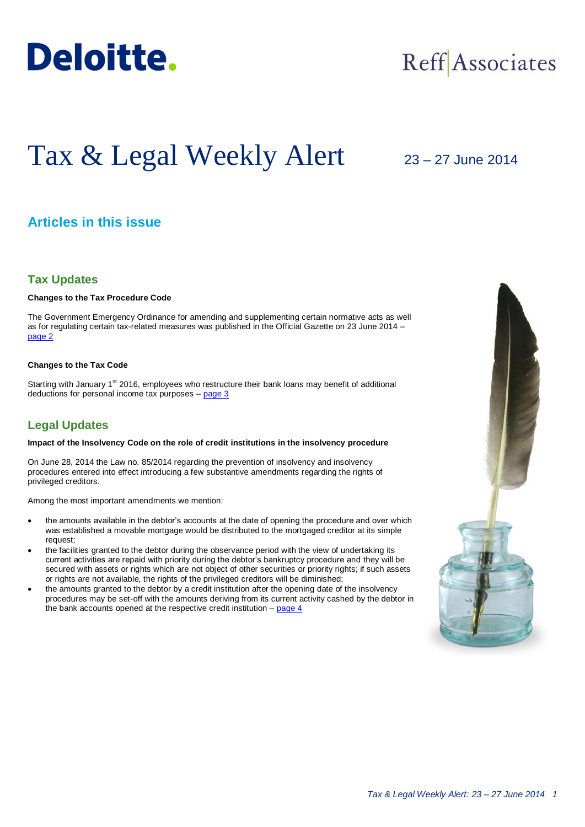

## Reff Associates

# Tax & Legal Weekly Alert

## 23 – 27 June 2014

## **Articles in this issue**

#### **Tax Updates**

#### **Changes to the Tax Procedure Code**

The Government Emergency Ordinance for amending and supplementing certain normative acts as well as for regulating certain tax-related measures was published in the Official Gazette on 23 June 2014 – [page 2](#page-1-0)

#### **Changes to the Tax Code**

Starting with January 1<sup>st</sup> 2016, employees who restructure their bank loans may benefit of additional deductions for personal income tax purposes – [page 3](#page-2-0)

### **Legal Updates**

#### **Impact of the Insolvency Code on the role of credit institutions in the insolvency procedure**

On June 28, 2014 the Law no. 85/2014 regarding the prevention of insolvency and insolvency procedures entered into effect introducing a few substantive amendments regarding the rights of privileged creditors.

Among the most important amendments we mention:

- the amounts available in the debtor's accounts at the date of opening the procedure and over which was established a movable mortgage would be distributed to the mortgaged creditor at its simple request;
- the facilities granted to the debtor during the observance period with the view of undertaking its current activities are repaid with priority during the debtor's bankruptcy procedure and they will be secured with assets or rights which are not object of other securities or priority rights; if such assets or rights are not available, the rights of the privileged creditors will be diminished;
- the amounts granted to the debtor by a credit institution after the opening date of the insolvency procedures may be set-off with the amounts deriving from its current activity cashed by the debtor in the bank accounts opened at the respective credit institution  $-$  page  $4$

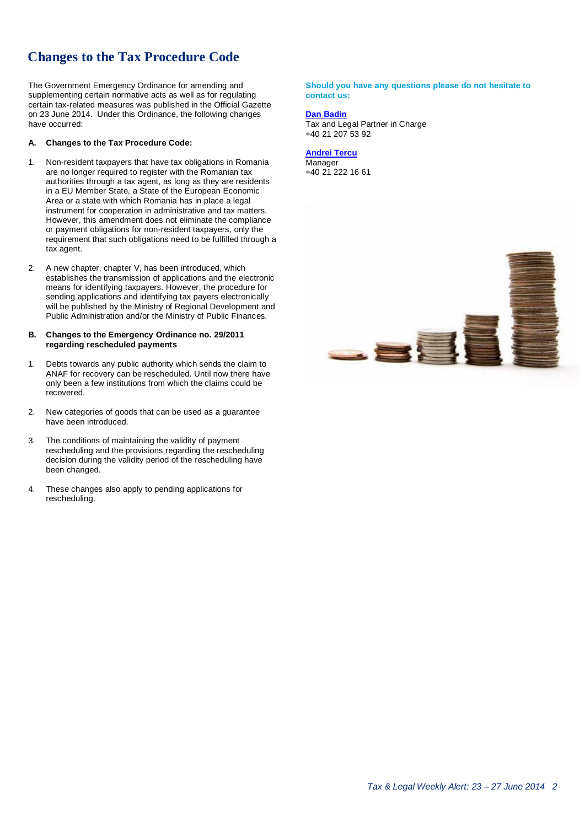## **Changes to the Tax Procedure Code**

The Government Emergency Ordinance for amending and supplementing certain normative acts as well as for regulating certain tax-related measures was published in the Official Gazette on 23 June 2014. Under this Ordinance, the following changes have occurred:

#### **A. Changes to the Tax Procedure Code:**

- 1. Non-resident taxpayers that have tax obligations in Romania are no longer required to register with the Romanian tax authorities through a tax agent, as long as they are residents in a EU Member State, a State of the European Economic Area or a state with which Romania has in place a legal instrument for cooperation in administrative and tax matters. However, this amendment does not eliminate the compliance or payment obligations for non-resident taxpayers, only the requirement that such obligations need to be fulfilled through a tax agent.
- 2. A new chapter, chapter V, has been introduced, which establishes the transmission of applications and the electronic means for identifying taxpayers. However, the procedure for sending applications and identifying tax payers electronically will be published by the Ministry of Regional Development and Public Administration and/or the Ministry of Public Finances.

#### **B. Changes to the Emergency Ordinance no. 29/2011 regarding rescheduled payments**

- 1. Debts towards any public authority which sends the claim to ANAF for recovery can be rescheduled. Until now there have only been a few institutions from which the claims could be recovered.
- 2. New categories of goods that can be used as a guarantee have been introduced.
- 3. The conditions of maintaining the validity of payment rescheduling and the provisions regarding the rescheduling decision during the validity period of the rescheduling have been changed.
- 4. These changes also apply to pending applications for rescheduling.

<span id="page-1-0"></span>**Should you have any questions please do not hesitate to contact us:**

#### **[Dan Badin](mailto:dbadin@deloitteCE.com)**

Tax and Legal Partner in Charge +40 21 207 53 92

**[Andrei Tercu](mailto:atercu@deloittece.com) Manager** +40 21 222 16 61

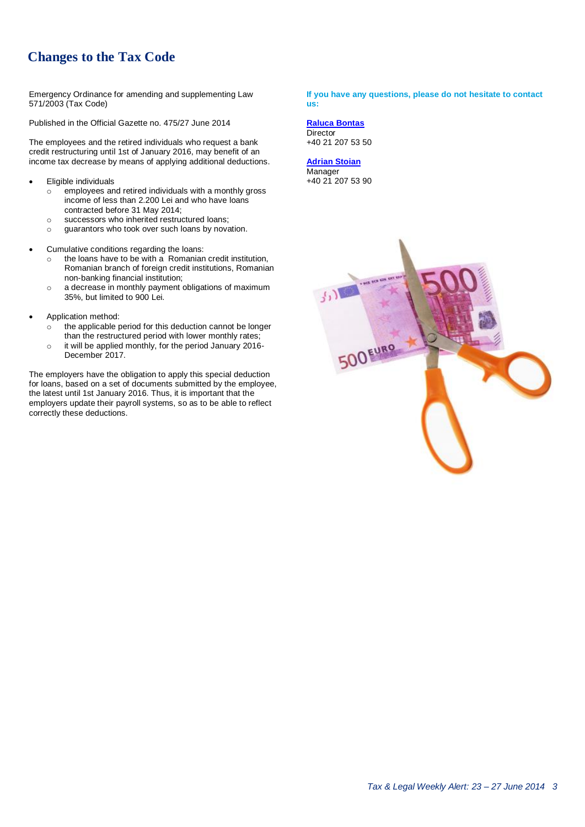## **Changes to the Tax Code**

Emergency Ordinance for amending and supplementing Law 571/2003 (Tax Code)

Published in the Official Gazette no. 475/27 June 2014

The employees and the retired individuals who request a bank credit restructuring until 1st of January 2016, may benefit of an income tax decrease by means of applying additional deductions.

- Eligible individuals
	- $\circ$  employees and retired individuals with a monthly gross income of less than 2.200 Lei and who have loans contracted before 31 May 2014;
	- o successors who inherited restructured loans;
	- o guarantors who took over such loans by novation.
- Cumulative conditions regarding the loans:
	- o the loans have to be with a Romanian credit institution, Romanian branch of foreign credit institutions, Romanian non-banking financial institution;
	- o a decrease in monthly payment obligations of maximum 35%, but limited to 900 Lei.
- Application method:
	- $\circ$  the applicable period for this deduction cannot be longer than the restructured period with lower monthly rates;
	- o it will be applied monthly, for the period January 2016- December 2017.

The employers have the obligation to apply this special deduction for loans, based on a set of documents submitted by the employee, the latest until 1st January 2016. Thus, it is important that the employers update their payroll systems, so as to be able to reflect correctly these deductions.

<span id="page-2-0"></span>**If you have any questions, please do not hesitate to contact us:**

**[Raluca Bontas](mailto:rbontas@deloittece.com) Director** +40 21 207 53 50

**[Adrian Stoian](mailto:fstoian@deloittece.com) Manager** +40 21 207 53 90

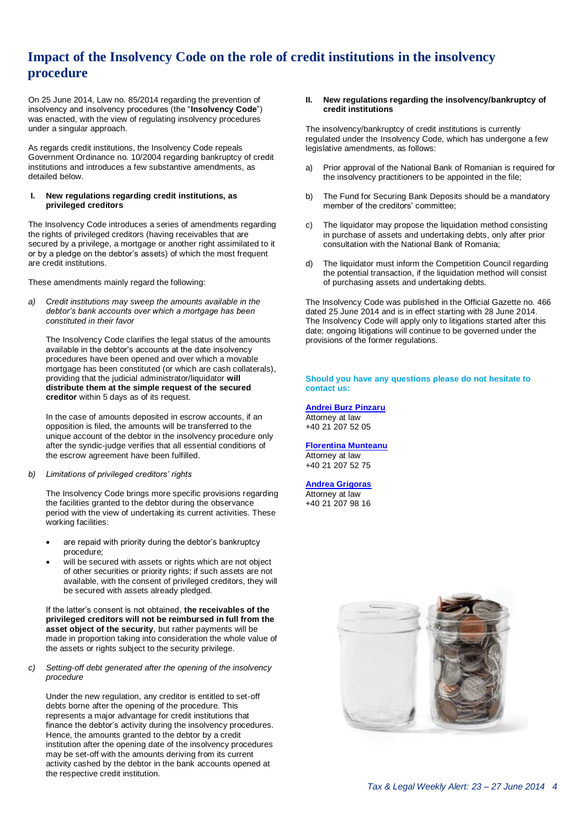## <span id="page-3-0"></span>**Impact of the Insolvency Code on the role of credit institutions in the insolvency procedure**

On 25 June 2014, Law no. 85/2014 regarding the prevention of insolvency and insolvency procedures (the "**Insolvency Code**") was enacted, with the view of regulating insolvency procedures under a singular approach.

As regards credit institutions, the Insolvency Code repeals Government Ordinance no. 10/2004 regarding bankruptcy of credit institutions and introduces a few substantive amendments, as detailed below.

#### **I. New regulations regarding credit institutions, as privileged creditors**

The Insolvency Code introduces a series of amendments regarding the rights of privileged creditors (having receivables that are secured by a privilege, a mortgage or another right assimilated to it or by a pledge on the debtor's assets) of which the most frequent are credit institutions.

These amendments mainly regard the following:

*a) Credit institutions may sweep the amounts available in the debtor's bank accounts over which a mortgage has been constituted in their favor*

The Insolvency Code clarifies the legal status of the amounts available in the debtor's accounts at the date insolvency procedures have been opened and over which a movable mortgage has been constituted (or which are cash collaterals), providing that the judicial administrator/liquidator **will distribute them at the simple request of the secured creditor** within 5 days as of its request.

In the case of amounts deposited in escrow accounts, if an opposition is filed, the amounts will be transferred to the unique account of the debtor in the insolvency procedure only after the syndic-judge verifies that all essential conditions of the escrow agreement have been fulfilled.

#### *b) Limitations of privileged creditors' rights*

The Insolvency Code brings more specific provisions regarding the facilities granted to the debtor during the observance period with the view of undertaking its current activities. These working facilities:

- are repaid with priority during the debtor's bankruptcy procedure;
- will be secured with assets or rights which are not object of other securities or priority rights; if such assets are not available, with the consent of privileged creditors, they will be secured with assets already pledged.

If the latter's consent is not obtained, **the receivables of the privileged creditors will not be reimbursed in full from the asset object of the security**, but rather payments will be made in proportion taking into consideration the whole value of the assets or rights subject to the security privilege.

*c) Setting-off debt generated after the opening of the insolvency procedure*

Under the new regulation, any creditor is entitled to set-off debts borne after the opening of the procedure. This represents a major advantage for credit institutions that finance the debtor's activity during the insolvency procedures. Hence, the amounts granted to the debtor by a credit institution after the opening date of the insolvency procedures may be set-off with the amounts deriving from its current activity cashed by the debtor in the bank accounts opened at the respective credit institution.

#### **II. New regulations regarding the insolvency/bankruptcy of credit institutions**

The insolvency/bankruptcy of credit institutions is currently regulated under the Insolvency Code, which has undergone a few legislative amendments, as follows:

- a) Prior approval of the National Bank of Romanian is required for the insolvency practitioners to be appointed in the file;
- b) The Fund for Securing Bank Deposits should be a mandatory member of the creditors' committee;
- c) The liquidator may propose the liquidation method consisting in purchase of assets and undertaking debts, only after prior consultation with the National Bank of Romania;
- d) The liquidator must inform the Competition Council regarding the potential transaction, if the liquidation method will consist of purchasing assets and undertaking debts.

The Insolvency Code was published in the Official Gazette no. 466 dated 25 June 2014 and is in effect starting with 28 June 2014. The Insolvency Code will apply only to litigations started after this date; ongoing litigations will continue to be governed under the provisions of the former regulations.

**Should you have any questions please do not hesitate to contact us:**

**[Andrei Burz Pinzaru](mailto:aburzpinzaru@deloittece.com)** Attorney at law +40 21 207 52 05

**[Florentina Munteanu](mailto:fmunteanu@deloittece.com)**

#### Attorney at law

+40 21 207 52 75

#### **[Andrea Grigoras](mailto:agrigoras@deloittece.com)**

Attorney at law +40 21 207 98 16